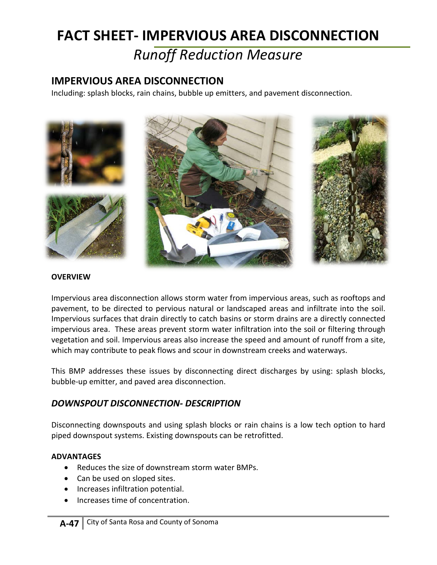# **FACT SHEET- IMPERVIOUS AREA DISCONNECTION**

## *Runoff Reduction Measure*

## **IMPERVIOUS AREA DISCONNECTION**

Including: splash blocks, rain chains, bubble up emitters, and pavement disconnection.



### **OVERVIEW**

Impervious area disconnection allows storm water from impervious areas, such as rooftops and pavement, to be directed to pervious natural or landscaped areas and infiltrate into the soil. Impervious surfaces that drain directly to catch basins or storm drains are a directly connected impervious area. These areas prevent storm water infiltration into the soil or filtering through vegetation and soil. Impervious areas also increase the speed and amount of runoff from a site, which may contribute to peak flows and scour in downstream creeks and waterways.

This BMP addresses these issues by disconnecting direct discharges by using: splash blocks, bubble-up emitter, and paved area disconnection.

## *DOWNSPOUT DISCONNECTION- DESCRIPTION*

Disconnecting downspouts and using splash blocks or rain chains is a low tech option to hard piped downspout systems. Existing downspouts can be retrofitted.

## **ADVANTAGES**

- Reduces the size of downstream storm water BMPs.
- Can be used on sloped sites.
- Increases infiltration potential.
- Increases time of concentration.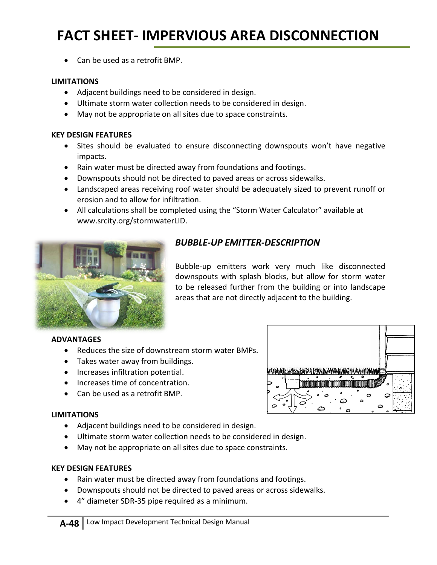## **FACT SHEET- IMPERVIOUS AREA DISCONNECTION**

• Can be used as a retrofit BMP.

#### **LIMITATIONS**

- Adjacent buildings need to be considered in design.
- Ultimate storm water collection needs to be considered in design.
- May not be appropriate on all sites due to space constraints.

#### **KEY DESIGN FEATURES**

- Sites should be evaluated to ensure disconnecting downspouts won't have negative impacts.
- Rain water must be directed away from foundations and footings.
- Downspouts should not be directed to paved areas or across sidewalks.
- Landscaped areas receiving roof water should be adequately sized to prevent runoff or erosion and to allow for infiltration.
- All calculations shall be completed using the "Storm Water Calculator" available at [www.srcity.org/stormwaterLID.](http://www.srcity.org/stormwaterLID)



## *BUBBLE-UP EMITTER-DESCRIPTION*

Bubble-up emitters work very much like disconnected downspouts with splash blocks, but allow for storm water to be released further from the building or into landscape areas that are not directly adjacent to the building.

አንተካተ በተ

 $\Omega$ 

#### **ADVANTAGES**

- Reduces the size of downstream storm water BMPs.
- Takes water away from buildings.
- Increases infiltration potential.
- Increases time of concentration.
- Can be used as a retrofit BMP.

#### **LIMITATIONS**

- Adjacent buildings need to be considered in design.
- Ultimate storm water collection needs to be considered in design.
- May not be appropriate on all sites due to space constraints.

#### **KEY DESIGN FEATURES**

- Rain water must be directed away from foundations and footings.
- Downspouts should not be directed to paved areas or across sidewalks.
- 4" diameter SDR-35 pipe required as a minimum.